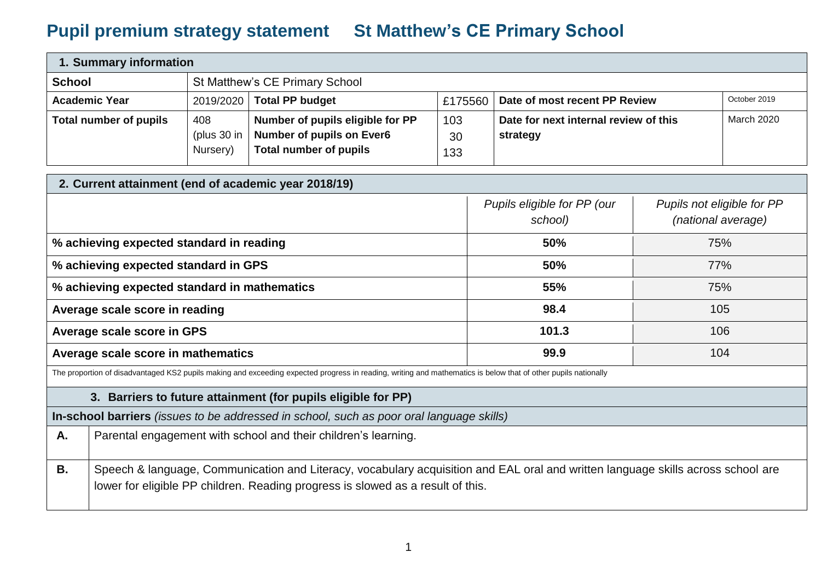## **Pupil premium strategy statement St Matthew's CE Primary School**

| 1. Summary information |                                        |                                                                                                       |                  |                                                   |            |  |
|------------------------|----------------------------------------|-------------------------------------------------------------------------------------------------------|------------------|---------------------------------------------------|------------|--|
| <b>School</b>          |                                        | St Matthew's CE Primary School                                                                        |                  |                                                   |            |  |
| <b>Academic Year</b>   |                                        | October 2019<br>2019/2020   Total PP budget<br>Date of most recent PP Review<br>£175560               |                  |                                                   |            |  |
| Total number of pupils | 408<br>(plus 30 in $\vert$<br>Nursery) | Number of pupils eligible for PP<br><b>Number of pupils on Ever6</b><br><b>Total number of pupils</b> | 103<br>30<br>133 | Date for next internal review of this<br>strategy | March 2020 |  |

| 2. Current attainment (end of academic year 2018/19) |                                        |                                                  |
|------------------------------------------------------|----------------------------------------|--------------------------------------------------|
|                                                      | Pupils eligible for PP (our<br>school) | Pupils not eligible for PP<br>(national average) |
| % achieving expected standard in reading             | 50%                                    | 75%                                              |
| % achieving expected standard in GPS                 | 50%                                    | 77%                                              |
| % achieving expected standard in mathematics         | 55%                                    | 75%                                              |
| Average scale score in reading                       | 98.4                                   | 105                                              |
| Average scale score in GPS                           | 101.3                                  | 106                                              |
| Average scale score in mathematics                   | 99.9                                   | 104                                              |

The proportion of disadvantaged KS2 pupils making and exceeding expected progress in reading, writing and mathematics is below that of other pupils nationally

## **3. Barriers to future attainment (for pupils eligible for PP)**

**In-school barriers** *(issues to be addressed in school, such as poor oral language skills)*

| А. | Parental engagement with school and their children's learning.                                                                                                                                                      |
|----|---------------------------------------------------------------------------------------------------------------------------------------------------------------------------------------------------------------------|
| В. | Speech & language, Communication and Literacy, vocabulary acquisition and EAL oral and written language skills across school are<br>Jower for eligible PP children. Reading progress is slowed as a result of this. |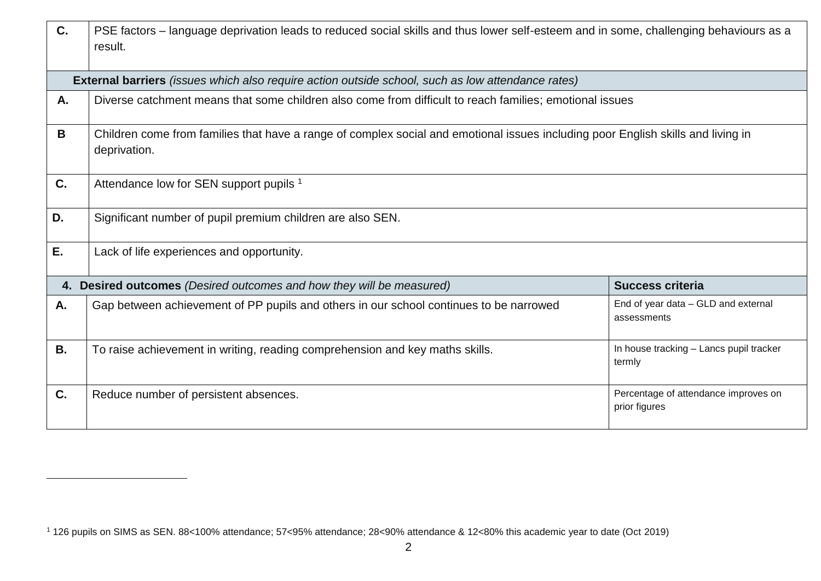| C.        | PSE factors - language deprivation leads to reduced social skills and thus lower self-esteem and in some, challenging behaviours as a            |                                                       |
|-----------|--------------------------------------------------------------------------------------------------------------------------------------------------|-------------------------------------------------------|
|           | result.                                                                                                                                          |                                                       |
|           |                                                                                                                                                  |                                                       |
|           | <b>External barriers</b> (issues which also require action outside school, such as low attendance rates)                                         |                                                       |
| A.        | Diverse catchment means that some children also come from difficult to reach families; emotional issues                                          |                                                       |
| B         | Children come from families that have a range of complex social and emotional issues including poor English skills and living in<br>deprivation. |                                                       |
| C.        | Attendance low for SEN support pupils 1                                                                                                          |                                                       |
| D.        | Significant number of pupil premium children are also SEN.                                                                                       |                                                       |
| Ε.        | Lack of life experiences and opportunity.                                                                                                        |                                                       |
|           | 4. Desired outcomes (Desired outcomes and how they will be measured)                                                                             | <b>Success criteria</b>                               |
| A.        | Gap between achievement of PP pupils and others in our school continues to be narrowed                                                           | End of year data - GLD and external<br>assessments    |
| <b>B.</b> | To raise achievement in writing, reading comprehension and key maths skills.                                                                     | In house tracking - Lancs pupil tracker<br>termly     |
| C.        | Reduce number of persistent absences.                                                                                                            | Percentage of attendance improves on<br>prior figures |

l

<sup>1</sup> 126 pupils on SIMS as SEN. 88<100% attendance; 57<95% attendance; 28<90% attendance & 12<80% this academic year to date (Oct 2019)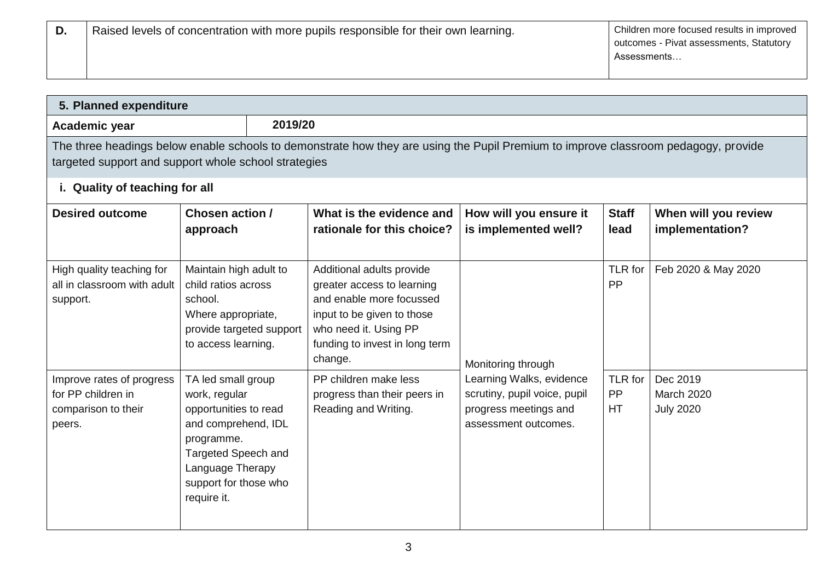| 5. Planned expenditure                                                           |                                                                                                                                                                                             |                                                                                                                                                                                         |                                                                                                           |                      |                                                   |
|----------------------------------------------------------------------------------|---------------------------------------------------------------------------------------------------------------------------------------------------------------------------------------------|-----------------------------------------------------------------------------------------------------------------------------------------------------------------------------------------|-----------------------------------------------------------------------------------------------------------|----------------------|---------------------------------------------------|
| Academic year                                                                    | 2019/20                                                                                                                                                                                     |                                                                                                                                                                                         |                                                                                                           |                      |                                                   |
| targeted support and support whole school strategies                             |                                                                                                                                                                                             | The three headings below enable schools to demonstrate how they are using the Pupil Premium to improve classroom pedagogy, provide                                                      |                                                                                                           |                      |                                                   |
| i. Quality of teaching for all                                                   |                                                                                                                                                                                             |                                                                                                                                                                                         |                                                                                                           |                      |                                                   |
| <b>Desired outcome</b>                                                           | Chosen action /<br>approach                                                                                                                                                                 | What is the evidence and<br>rationale for this choice?                                                                                                                                  | How will you ensure it<br>is implemented well?                                                            | <b>Staff</b><br>lead | When will you review<br>implementation?           |
| High quality teaching for<br>all in classroom with adult<br>support.             | Maintain high adult to<br>child ratios across<br>school.<br>Where appropriate,<br>provide targeted support<br>to access learning.                                                           | Additional adults provide<br>greater access to learning<br>and enable more focussed<br>input to be given to those<br>who need it. Using PP<br>funding to invest in long term<br>change. | Monitoring through                                                                                        | TLR for<br>PP        | Feb 2020 & May 2020                               |
| Improve rates of progress<br>for PP children in<br>comparison to their<br>peers. | TA led small group<br>work, regular<br>opportunities to read<br>and comprehend, IDL<br>programme.<br><b>Targeted Speech and</b><br>Language Therapy<br>support for those who<br>require it. | PP children make less<br>progress than their peers in<br>Reading and Writing.                                                                                                           | Learning Walks, evidence<br>scrutiny, pupil voice, pupil<br>progress meetings and<br>assessment outcomes. | TLR for<br>PP<br>HT  | Dec 2019<br><b>March 2020</b><br><b>July 2020</b> |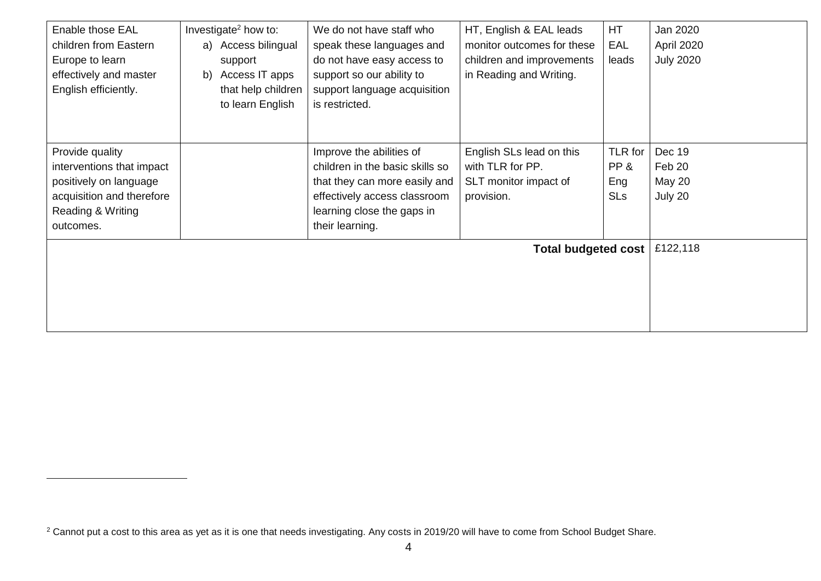| Enable those EAL<br>children from Eastern<br>Europe to learn<br>effectively and master<br>English efficiently.                        | Investigate <sup>2</sup> how to:<br>a) Access bilingual<br>support<br>Access IT apps<br>b)<br>that help children<br>to learn English | We do not have staff who<br>speak these languages and<br>do not have easy access to<br>support so our ability to<br>support language acquisition<br>is restricted.            | HT, English & EAL leads<br>monitor outcomes for these<br>children and improvements<br>in Reading and Writing. | HT<br>EAL<br>leads                  | Jan 2020<br>April 2020<br><b>July 2020</b>   |
|---------------------------------------------------------------------------------------------------------------------------------------|--------------------------------------------------------------------------------------------------------------------------------------|-------------------------------------------------------------------------------------------------------------------------------------------------------------------------------|---------------------------------------------------------------------------------------------------------------|-------------------------------------|----------------------------------------------|
| Provide quality<br>interventions that impact<br>positively on language<br>acquisition and therefore<br>Reading & Writing<br>outcomes. |                                                                                                                                      | Improve the abilities of<br>children in the basic skills so<br>that they can more easily and<br>effectively access classroom<br>learning close the gaps in<br>their learning. | English SLs lead on this<br>with TLR for PP.<br>SLT monitor impact of<br>provision.                           | TLR for<br>PP&<br>Eng<br><b>SLs</b> | Dec 19<br>Feb 20<br><b>May 20</b><br>July 20 |
|                                                                                                                                       |                                                                                                                                      |                                                                                                                                                                               | <b>Total budgeted cost</b>                                                                                    |                                     | £122,118                                     |

l

<sup>&</sup>lt;sup>2</sup> Cannot put a cost to this area as yet as it is one that needs investigating. Any costs in 2019/20 will have to come from School Budget Share.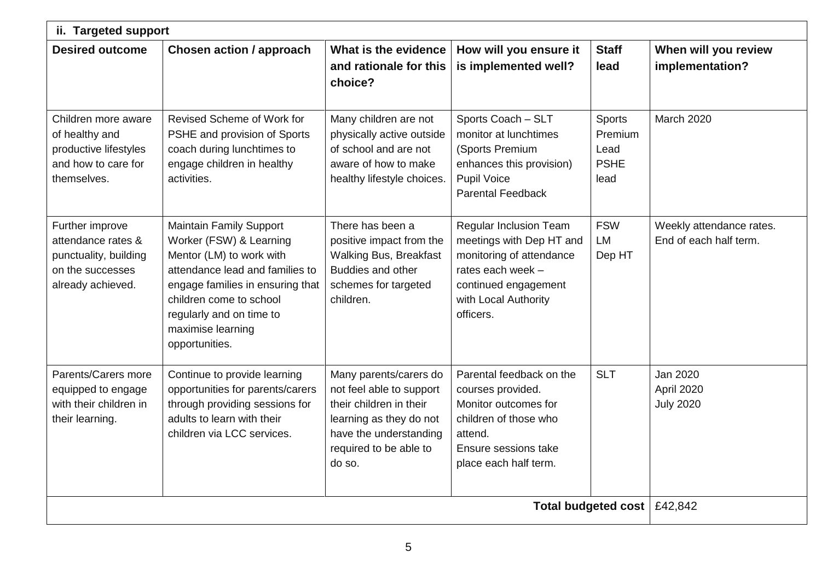| ii. Targeted support                                                                                    |                                                                                                                                                                                                                                                            |                                                                                                                                                                        |                                                                                                                                                                  |                                                         |                                                    |
|---------------------------------------------------------------------------------------------------------|------------------------------------------------------------------------------------------------------------------------------------------------------------------------------------------------------------------------------------------------------------|------------------------------------------------------------------------------------------------------------------------------------------------------------------------|------------------------------------------------------------------------------------------------------------------------------------------------------------------|---------------------------------------------------------|----------------------------------------------------|
| <b>Desired outcome</b>                                                                                  | <b>Chosen action / approach</b>                                                                                                                                                                                                                            | What is the evidence<br>and rationale for this<br>choice?                                                                                                              | How will you ensure it<br>is implemented well?                                                                                                                   | <b>Staff</b><br>lead                                    | When will you review<br>implementation?            |
| Children more aware<br>of healthy and<br>productive lifestyles<br>and how to care for<br>themselves.    | Revised Scheme of Work for<br>PSHE and provision of Sports<br>coach during lunchtimes to<br>engage children in healthy<br>activities.                                                                                                                      | Many children are not<br>physically active outside<br>of school and are not<br>aware of how to make<br>healthy lifestyle choices.                                      | Sports Coach - SLT<br>monitor at lunchtimes<br>(Sports Premium<br>enhances this provision)<br>Pupil Voice<br><b>Parental Feedback</b>                            | <b>Sports</b><br>Premium<br>Lead<br><b>PSHE</b><br>lead | <b>March 2020</b>                                  |
| Further improve<br>attendance rates &<br>punctuality, building<br>on the successes<br>already achieved. | <b>Maintain Family Support</b><br>Worker (FSW) & Learning<br>Mentor (LM) to work with<br>attendance lead and families to<br>engage families in ensuring that<br>children come to school<br>regularly and on time to<br>maximise learning<br>opportunities. | There has been a<br>positive impact from the<br><b>Walking Bus, Breakfast</b><br>Buddies and other<br>schemes for targeted<br>children.                                | Regular Inclusion Team<br>meetings with Dep HT and<br>monitoring of attendance<br>rates each week -<br>continued engagement<br>with Local Authority<br>officers. | <b>FSW</b><br><b>LM</b><br>Dep HT                       | Weekly attendance rates.<br>End of each half term. |
| Parents/Carers more<br>equipped to engage<br>with their children in<br>their learning.                  | Continue to provide learning<br>opportunities for parents/carers<br>through providing sessions for<br>adults to learn with their<br>children via LCC services.                                                                                             | Many parents/carers do<br>not feel able to support<br>their children in their<br>learning as they do not<br>have the understanding<br>required to be able to<br>do so. | Parental feedback on the<br>courses provided.<br>Monitor outcomes for<br>children of those who<br>attend.<br>Ensure sessions take<br>place each half term.       | <b>SLT</b>                                              | Jan 2020<br>April 2020<br><b>July 2020</b>         |
|                                                                                                         |                                                                                                                                                                                                                                                            |                                                                                                                                                                        |                                                                                                                                                                  | <b>Total budgeted cost</b>                              | £42,842                                            |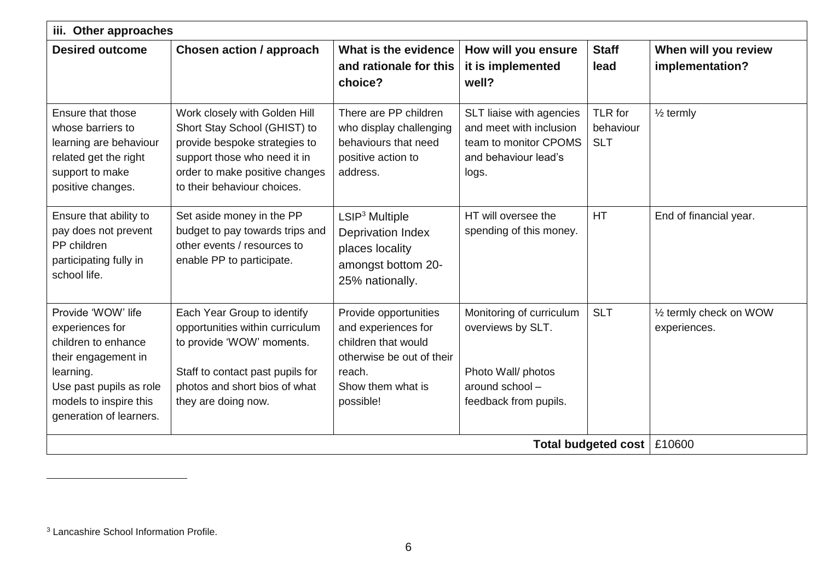|                                                                                                                                                                                  | iii. Other approaches                                                                                                                                                                           |                                                                                                                                              |                                                                                                                 |                                    |                                         |  |
|----------------------------------------------------------------------------------------------------------------------------------------------------------------------------------|-------------------------------------------------------------------------------------------------------------------------------------------------------------------------------------------------|----------------------------------------------------------------------------------------------------------------------------------------------|-----------------------------------------------------------------------------------------------------------------|------------------------------------|-----------------------------------------|--|
| <b>Desired outcome</b>                                                                                                                                                           | <b>Chosen action / approach</b>                                                                                                                                                                 | What is the evidence<br>and rationale for this<br>choice?                                                                                    | How will you ensure<br>it is implemented<br>well?                                                               | <b>Staff</b><br>lead               | When will you review<br>implementation? |  |
| Ensure that those<br>whose barriers to<br>learning are behaviour<br>related get the right<br>support to make<br>positive changes.                                                | Work closely with Golden Hill<br>Short Stay School (GHIST) to<br>provide bespoke strategies to<br>support those who need it in<br>order to make positive changes<br>to their behaviour choices. | There are PP children<br>who display challenging<br>behaviours that need<br>positive action to<br>address.                                   | SLT liaise with agencies<br>and meet with inclusion<br>team to monitor CPOMS<br>and behaviour lead's<br>logs.   | TLR for<br>behaviour<br><b>SLT</b> | $\frac{1}{2}$ termly                    |  |
| Ensure that ability to<br>pay does not prevent<br>PP children<br>participating fully in<br>school life.                                                                          | Set aside money in the PP<br>budget to pay towards trips and<br>other events / resources to<br>enable PP to participate.                                                                        | LSIP <sup>3</sup> Multiple<br><b>Deprivation Index</b><br>places locality<br>amongst bottom 20-<br>25% nationally.                           | HT will oversee the<br>spending of this money.                                                                  | <b>HT</b>                          | End of financial year.                  |  |
| Provide 'WOW' life<br>experiences for<br>children to enhance<br>their engagement in<br>learning.<br>Use past pupils as role<br>models to inspire this<br>generation of learners. | Each Year Group to identify<br>opportunities within curriculum<br>to provide 'WOW' moments.<br>Staff to contact past pupils for<br>photos and short bios of what<br>they are doing now.         | Provide opportunities<br>and experiences for<br>children that would<br>otherwise be out of their<br>reach.<br>Show them what is<br>possible! | Monitoring of curriculum<br>overviews by SLT.<br>Photo Wall/ photos<br>around school -<br>feedback from pupils. | <b>SLT</b>                         | 1/2 termly check on WOW<br>experiences. |  |
|                                                                                                                                                                                  |                                                                                                                                                                                                 |                                                                                                                                              |                                                                                                                 | <b>Total budgeted cost</b>         | £10600                                  |  |

l

<sup>3</sup> Lancashire School Information Profile.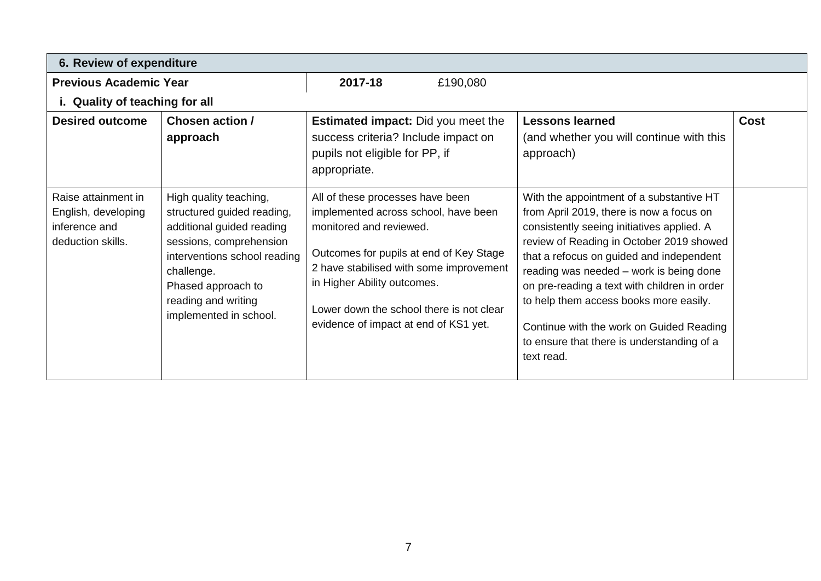|                                                                                  | 6. Review of expenditure                                                                                                                                                                                                          |                                                                                                                                                                                                                                                                                                               |          |                                                                                                                                                                                                                                                                                                                                                                                                                                                                         |             |  |
|----------------------------------------------------------------------------------|-----------------------------------------------------------------------------------------------------------------------------------------------------------------------------------------------------------------------------------|---------------------------------------------------------------------------------------------------------------------------------------------------------------------------------------------------------------------------------------------------------------------------------------------------------------|----------|-------------------------------------------------------------------------------------------------------------------------------------------------------------------------------------------------------------------------------------------------------------------------------------------------------------------------------------------------------------------------------------------------------------------------------------------------------------------------|-------------|--|
| <b>Previous Academic Year</b>                                                    |                                                                                                                                                                                                                                   | 2017-18                                                                                                                                                                                                                                                                                                       | £190,080 |                                                                                                                                                                                                                                                                                                                                                                                                                                                                         |             |  |
| i. Quality of teaching for all                                                   |                                                                                                                                                                                                                                   |                                                                                                                                                                                                                                                                                                               |          |                                                                                                                                                                                                                                                                                                                                                                                                                                                                         |             |  |
| <b>Desired outcome</b>                                                           | Chosen action /<br>approach                                                                                                                                                                                                       | <b>Estimated impact:</b> Did you meet the<br>success criteria? Include impact on<br>pupils not eligible for PP, if<br>appropriate.                                                                                                                                                                            |          | <b>Lessons learned</b><br>(and whether you will continue with this<br>approach)                                                                                                                                                                                                                                                                                                                                                                                         | <b>Cost</b> |  |
| Raise attainment in<br>English, developing<br>inference and<br>deduction skills. | High quality teaching,<br>structured guided reading,<br>additional guided reading<br>sessions, comprehension<br>interventions school reading<br>challenge.<br>Phased approach to<br>reading and writing<br>implemented in school. | All of these processes have been<br>implemented across school, have been<br>monitored and reviewed.<br>Outcomes for pupils at end of Key Stage<br>2 have stabilised with some improvement<br>in Higher Ability outcomes.<br>Lower down the school there is not clear<br>evidence of impact at end of KS1 yet. |          | With the appointment of a substantive HT<br>from April 2019, there is now a focus on<br>consistently seeing initiatives applied. A<br>review of Reading in October 2019 showed<br>that a refocus on guided and independent<br>reading was needed - work is being done<br>on pre-reading a text with children in order<br>to help them access books more easily.<br>Continue with the work on Guided Reading<br>to ensure that there is understanding of a<br>text read. |             |  |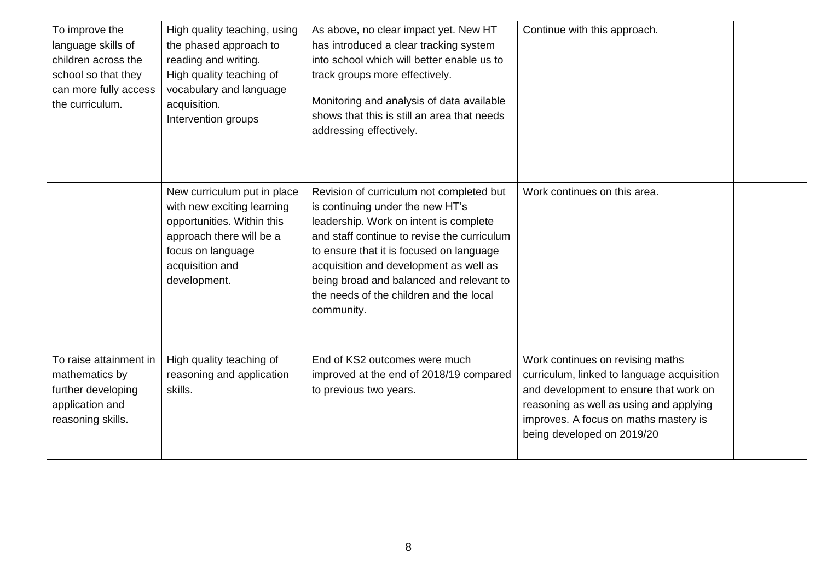| To improve the<br>language skills of<br>children across the<br>school so that they<br>can more fully access<br>the curriculum. | High quality teaching, using<br>the phased approach to<br>reading and writing.<br>High quality teaching of<br>vocabulary and language<br>acquisition.<br>Intervention groups | As above, no clear impact yet. New HT<br>has introduced a clear tracking system<br>into school which will better enable us to<br>track groups more effectively.<br>Monitoring and analysis of data available<br>shows that this is still an area that needs<br>addressing effectively.                                                                           | Continue with this approach.                                                                                                                                                                                                               |  |
|--------------------------------------------------------------------------------------------------------------------------------|------------------------------------------------------------------------------------------------------------------------------------------------------------------------------|------------------------------------------------------------------------------------------------------------------------------------------------------------------------------------------------------------------------------------------------------------------------------------------------------------------------------------------------------------------|--------------------------------------------------------------------------------------------------------------------------------------------------------------------------------------------------------------------------------------------|--|
|                                                                                                                                |                                                                                                                                                                              |                                                                                                                                                                                                                                                                                                                                                                  |                                                                                                                                                                                                                                            |  |
|                                                                                                                                | New curriculum put in place<br>with new exciting learning<br>opportunities. Within this<br>approach there will be a<br>focus on language<br>acquisition and<br>development.  | Revision of curriculum not completed but<br>is continuing under the new HT's<br>leadership. Work on intent is complete<br>and staff continue to revise the curriculum<br>to ensure that it is focused on language<br>acquisition and development as well as<br>being broad and balanced and relevant to<br>the needs of the children and the local<br>community. | Work continues on this area.                                                                                                                                                                                                               |  |
| To raise attainment in<br>mathematics by<br>further developing<br>application and<br>reasoning skills.                         | High quality teaching of<br>reasoning and application<br>skills.                                                                                                             | End of KS2 outcomes were much<br>improved at the end of 2018/19 compared<br>to previous two years.                                                                                                                                                                                                                                                               | Work continues on revising maths<br>curriculum, linked to language acquisition<br>and development to ensure that work on<br>reasoning as well as using and applying<br>improves. A focus on maths mastery is<br>being developed on 2019/20 |  |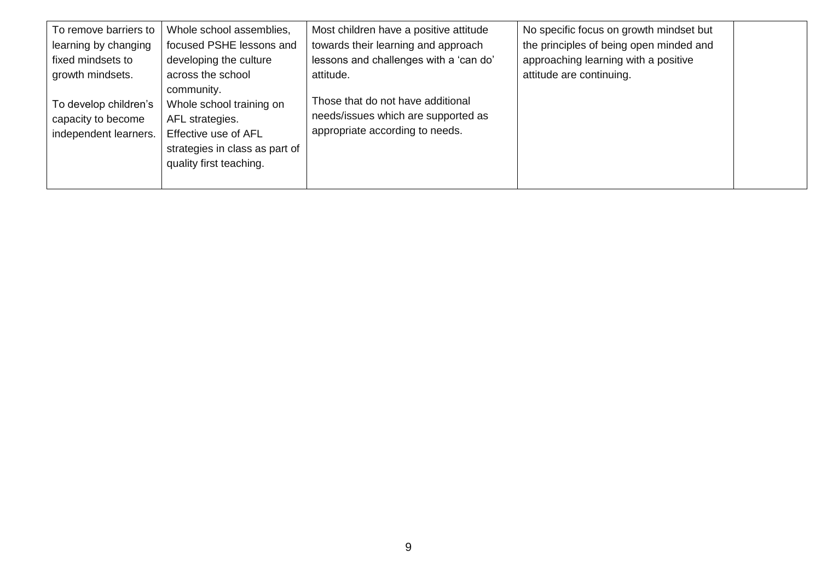| To remove barriers to                                                | Whole school assemblies,                                                                                                         | Most children have a positive attitude                                                                      | No specific focus on growth mindset but |  |
|----------------------------------------------------------------------|----------------------------------------------------------------------------------------------------------------------------------|-------------------------------------------------------------------------------------------------------------|-----------------------------------------|--|
| learning by changing                                                 | focused PSHE lessons and                                                                                                         | towards their learning and approach                                                                         | the principles of being open minded and |  |
| fixed mindsets to                                                    | developing the culture                                                                                                           | lessons and challenges with a 'can do'                                                                      | approaching learning with a positive    |  |
| growth mindsets.                                                     | across the school<br>community.                                                                                                  | attitude.                                                                                                   | attitude are continuing.                |  |
| To develop children's<br>capacity to become<br>independent learners. | Whole school training on<br>AFL strategies.<br>Effective use of AFL<br>strategies in class as part of<br>quality first teaching. | Those that do not have additional<br>needs/issues which are supported as<br>appropriate according to needs. |                                         |  |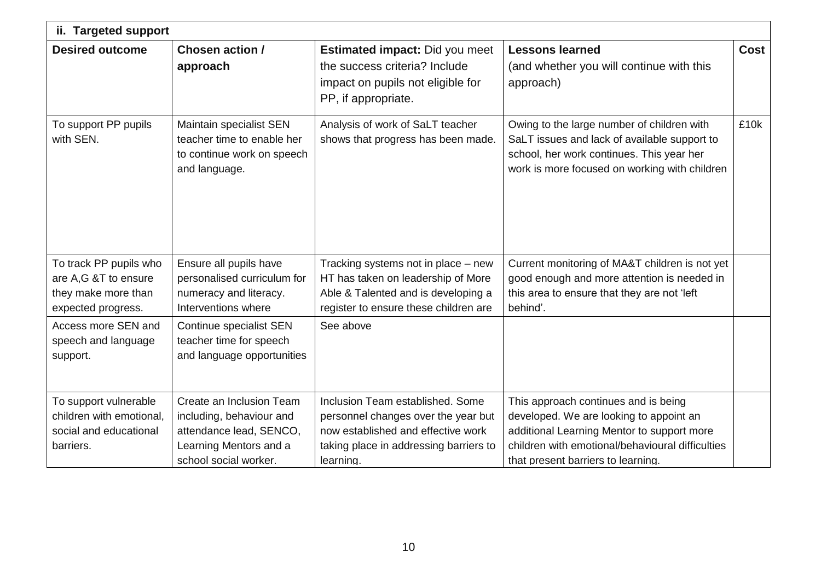| ii. Targeted support                                                                        |                                                                                                                                    |                                                                                                                                                                      |                                                                                                                                                                                                                         |             |  |  |
|---------------------------------------------------------------------------------------------|------------------------------------------------------------------------------------------------------------------------------------|----------------------------------------------------------------------------------------------------------------------------------------------------------------------|-------------------------------------------------------------------------------------------------------------------------------------------------------------------------------------------------------------------------|-------------|--|--|
| <b>Desired outcome</b>                                                                      | <b>Chosen action /</b><br>approach                                                                                                 | <b>Estimated impact: Did you meet</b><br>the success criteria? Include<br>impact on pupils not eligible for<br>PP, if appropriate.                                   | <b>Lessons learned</b><br>(and whether you will continue with this<br>approach)                                                                                                                                         | <b>Cost</b> |  |  |
| To support PP pupils<br>with SEN.                                                           | Maintain specialist SEN<br>teacher time to enable her<br>to continue work on speech<br>and language.                               | Analysis of work of SaLT teacher<br>shows that progress has been made.                                                                                               | Owing to the large number of children with<br>SaLT issues and lack of available support to<br>school, her work continues. This year her<br>work is more focused on working with children                                | £10k        |  |  |
| To track PP pupils who<br>are A,G &T to ensure<br>they make more than<br>expected progress. | Ensure all pupils have<br>personalised curriculum for<br>numeracy and literacy.<br>Interventions where                             | Tracking systems not in place - new<br>HT has taken on leadership of More<br>Able & Talented and is developing a<br>register to ensure these children are            | Current monitoring of MA&T children is not yet<br>good enough and more attention is needed in<br>this area to ensure that they are not 'left<br>behind'.                                                                |             |  |  |
| Access more SEN and<br>speech and language<br>support.                                      | Continue specialist SEN<br>teacher time for speech<br>and language opportunities                                                   | See above                                                                                                                                                            |                                                                                                                                                                                                                         |             |  |  |
| To support vulnerable<br>children with emotional,<br>social and educational<br>barriers.    | Create an Inclusion Team<br>including, behaviour and<br>attendance lead, SENCO,<br>Learning Mentors and a<br>school social worker. | Inclusion Team established. Some<br>personnel changes over the year but<br>now established and effective work<br>taking place in addressing barriers to<br>learning. | This approach continues and is being<br>developed. We are looking to appoint an<br>additional Learning Mentor to support more<br>children with emotional/behavioural difficulties<br>that present barriers to learning. |             |  |  |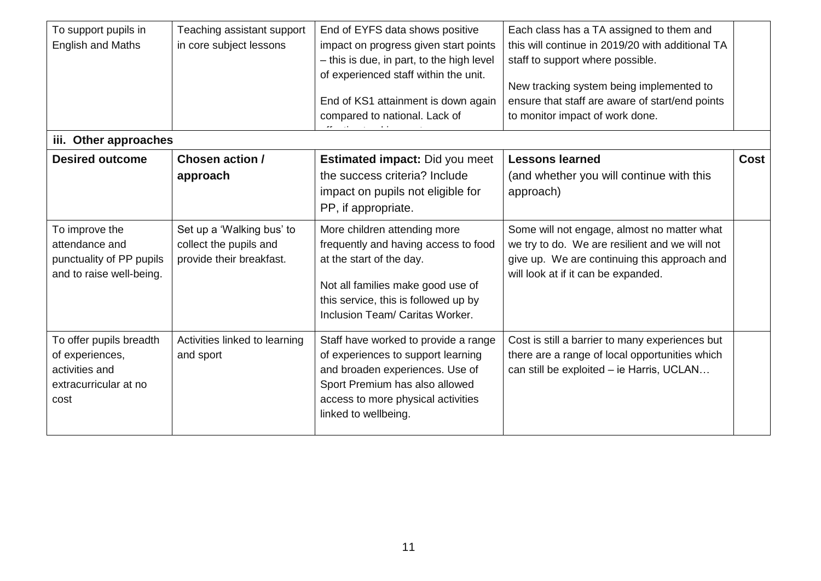| To support pupils in<br><b>English and Maths</b>                                              | Teaching assistant support<br>in core subject lessons                           | End of EYFS data shows positive<br>impact on progress given start points<br>- this is due, in part, to the high level<br>of experienced staff within the unit.<br>End of KS1 attainment is down again<br>compared to national. Lack of | Each class has a TA assigned to them and<br>this will continue in 2019/20 with additional TA<br>staff to support where possible.<br>New tracking system being implemented to<br>ensure that staff are aware of start/end points<br>to monitor impact of work done. |      |  |  |  |  |
|-----------------------------------------------------------------------------------------------|---------------------------------------------------------------------------------|----------------------------------------------------------------------------------------------------------------------------------------------------------------------------------------------------------------------------------------|--------------------------------------------------------------------------------------------------------------------------------------------------------------------------------------------------------------------------------------------------------------------|------|--|--|--|--|
| iii. Other approaches                                                                         |                                                                                 |                                                                                                                                                                                                                                        |                                                                                                                                                                                                                                                                    |      |  |  |  |  |
| <b>Desired outcome</b>                                                                        | <b>Chosen action /</b><br>approach                                              | <b>Estimated impact: Did you meet</b><br>the success criteria? Include<br>impact on pupils not eligible for<br>PP, if appropriate.                                                                                                     | <b>Lessons learned</b><br>(and whether you will continue with this<br>approach)                                                                                                                                                                                    | Cost |  |  |  |  |
| To improve the<br>attendance and<br>punctuality of PP pupils<br>and to raise well-being.      | Set up a 'Walking bus' to<br>collect the pupils and<br>provide their breakfast. | More children attending more<br>frequently and having access to food<br>at the start of the day.<br>Not all families make good use of<br>this service, this is followed up by<br>Inclusion Team/ Caritas Worker.                       | Some will not engage, almost no matter what<br>we try to do. We are resilient and we will not<br>give up. We are continuing this approach and<br>will look at if it can be expanded.                                                                               |      |  |  |  |  |
| To offer pupils breadth<br>of experiences,<br>activities and<br>extracurricular at no<br>cost | Activities linked to learning<br>and sport                                      | Staff have worked to provide a range<br>of experiences to support learning<br>and broaden experiences. Use of<br>Sport Premium has also allowed<br>access to more physical activities<br>linked to wellbeing.                          | Cost is still a barrier to many experiences but<br>there are a range of local opportunities which<br>can still be exploited - ie Harris, UCLAN                                                                                                                     |      |  |  |  |  |